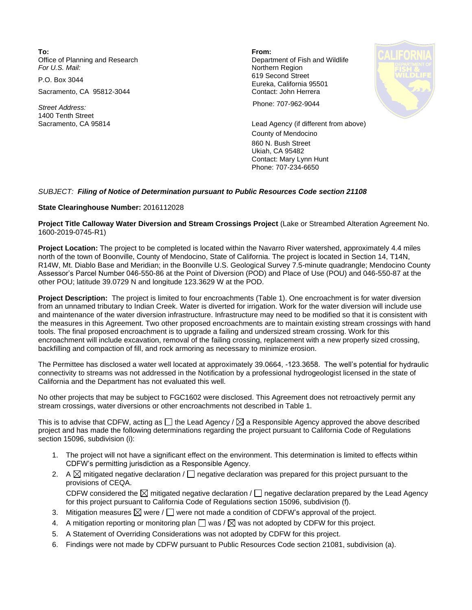**To: From:**  Office of Planning and Research **Department of Fish and Wildlife**<br>
For U.S. Mail: **Department of Fish and Wildlife** 

Sacramento, CA 95812-3044 Contact: John Herrera

1400 Tenth Street

**Northern Region** P.O. Box 3044 619 Second Street Eureka, California 95501



*Street Address:* Phone: 707-962-9044

Sacramento, CA 95814 Lead Agency (if different from above) County of Mendocino 860 N. Bush Street Ukiah, CA 95482 Contact: Mary Lynn Hunt Phone: 707-234-6650

## *SUBJECT: Filing of Notice of Determination pursuant to Public Resources Code section 21108*

## **State Clearinghouse Number:** 2016112028

**Project Title Calloway Water Diversion and Stream Crossings Project** (Lake or Streambed Alteration Agreement No. 1600-2019-0745-R1)

**Project Location:** The project to be completed is located within the Navarro River watershed, approximately 4.4 miles north of the town of Boonville, County of Mendocino, State of California. The project is located in Section 14, T14N, R14W, Mt. Diablo Base and Meridian; in the Boonville U.S. Geological Survey 7.5-minute quadrangle; Mendocino County Assessor's Parcel Number 046-550-86 at the Point of Diversion (POD) and Place of Use (POU) and 046-550-87 at the other POU; latitude 39.0729 N and longitude 123.3629 W at the POD.

**Project Description:** The project is limited to four encroachments (Table 1). One encroachment is for water diversion from an unnamed tributary to Indian Creek. Water is diverted for irrigation. Work for the water diversion will include use and maintenance of the water diversion infrastructure. Infrastructure may need to be modified so that it is consistent with the measures in this Agreement. Two other proposed encroachments are to maintain existing stream crossings with hand tools. The final proposed encroachment is to upgrade a failing and undersized stream crossing. Work for this encroachment will include excavation, removal of the failing crossing, replacement with a new properly sized crossing, backfilling and compaction of fill, and rock armoring as necessary to minimize erosion.

The Permittee has disclosed a water well located at approximately 39.0664, -123.3658. The well's potential for hydraulic connectivity to streams was not addressed in the Notification by a professional hydrogeologist licensed in the state of California and the Department has not evaluated this well.

No other projects that may be subject to FGC1602 were disclosed. This Agreement does not retroactively permit any stream crossings, water diversions or other encroachments not described in Table 1.

This is to advise that CDFW, acting as  $\Box$  the Lead Agency /  $\boxtimes$  a Responsible Agency approved the above described project and has made the following determinations regarding the project pursuant to California Code of Regulations section 15096, subdivision (i):

- 1. The project will not have a significant effect on the environment. This determination is limited to effects within CDFW's permitting jurisdiction as a Responsible Agency.
- 2. A  $\boxtimes$  mitigated negative declaration /  $\Box$  negative declaration was prepared for this project pursuant to the provisions of CEQA. CDFW considered the  $\boxtimes$  mitigated negative declaration /  $\Box$  negative declaration prepared by the Lead Agency for this project pursuant to California Code of Regulations section 15096, subdivision (f).
- 3. Mitigation measures  $\boxtimes$  were  $/\Box$  were not made a condition of CDFW's approval of the project.
- 4. A mitigation reporting or monitoring plan  $\Box$  was /  $\boxtimes$  was not adopted by CDFW for this project.
- 5. A Statement of Overriding Considerations was not adopted by CDFW for this project.
- 6. Findings were not made by CDFW pursuant to Public Resources Code section 21081, subdivision (a).